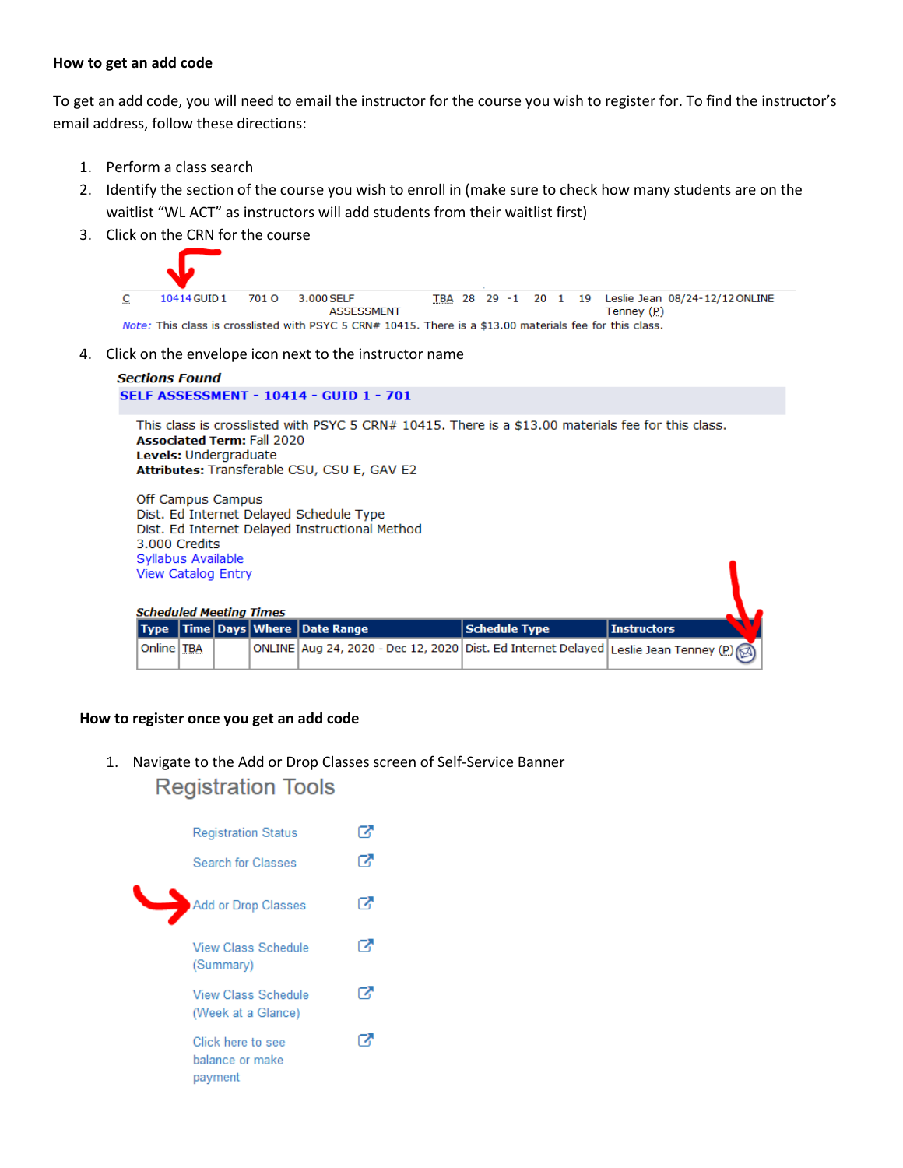## **How to get an add code**

To get an add code, you will need to email the instructor for the course you wish to register for. To find the instructor's email address, follow these directions:

- 1. Perform a class search
- 2. Identify the section of the course you wish to enroll in (make sure to check how many students are on the waitlist "WL ACT" as instructors will add students from their waitlist first)
- 3. Click on the CRN for the course



4. Click on the envelope icon next to the instructor name

| <b>SELF ASSESSMENT - 10414 - GUID 1 - 701</b><br>This class is crosslisted with PSYC 5 CRN# 10415. There is a \$13.00 materials fee for this class.<br><b>Associated Term: Fall 2020</b><br>Levels: Undergraduate<br>Attributes: Transferable CSU, CSU E, GAV E2<br>Off Campus Campus<br>Dist. Ed Internet Delayed Schedule Type<br>Dist. Ed Internet Delayed Instructional Method<br>3.000 Credits<br>Syllabus Available<br><b>View Catalog Entry</b><br><b>Scheduled Meeting Times</b><br>  Time   Days   Where   Date Range<br><b>Schedule Type</b><br><b>Instructors</b><br><b>Type</b><br>Online   TBA<br>ONLINE Aug 24, 2020 - Dec 12, 2020 Dist. Ed Internet Delayed<br>Leslie Jean Tenney (P) | <b>Sections Found</b> |  |  |  |  |  |  |  |  |
|-------------------------------------------------------------------------------------------------------------------------------------------------------------------------------------------------------------------------------------------------------------------------------------------------------------------------------------------------------------------------------------------------------------------------------------------------------------------------------------------------------------------------------------------------------------------------------------------------------------------------------------------------------------------------------------------------------|-----------------------|--|--|--|--|--|--|--|--|
|                                                                                                                                                                                                                                                                                                                                                                                                                                                                                                                                                                                                                                                                                                       |                       |  |  |  |  |  |  |  |  |
|                                                                                                                                                                                                                                                                                                                                                                                                                                                                                                                                                                                                                                                                                                       |                       |  |  |  |  |  |  |  |  |
|                                                                                                                                                                                                                                                                                                                                                                                                                                                                                                                                                                                                                                                                                                       |                       |  |  |  |  |  |  |  |  |
|                                                                                                                                                                                                                                                                                                                                                                                                                                                                                                                                                                                                                                                                                                       |                       |  |  |  |  |  |  |  |  |
|                                                                                                                                                                                                                                                                                                                                                                                                                                                                                                                                                                                                                                                                                                       |                       |  |  |  |  |  |  |  |  |

## **How to register once you get an add code**

1. Navigate to the Add or Drop Classes screen of Self-Service Banner**Registration Tools** 

| <b>Registration Status</b>                      |   |
|-------------------------------------------------|---|
| <b>Search for Classes</b>                       | z |
| Add or Drop Classes                             | α |
| View Class Schedule<br>(Summary)                | z |
| View Class Schedule<br>(Week at a Glance)       |   |
| Click here to see<br>balance or make<br>payment |   |